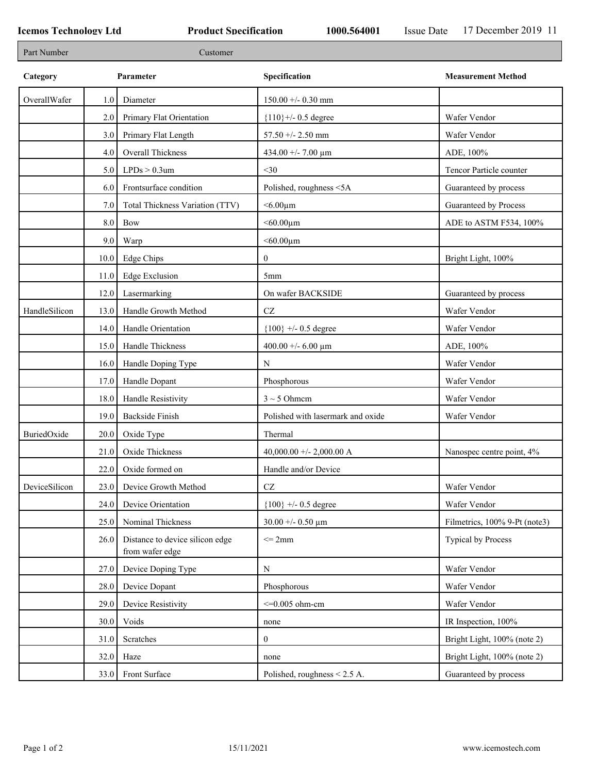| Part Number   |      | Customer                                           |                                    |                               |
|---------------|------|----------------------------------------------------|------------------------------------|-------------------------------|
| Category      |      | Parameter                                          | Specification                      | <b>Measurement Method</b>     |
| OverallWafer  | 1.0  | Diameter                                           | $150.00 + - 0.30$ mm               |                               |
|               | 2.0  | Primary Flat Orientation                           | ${110}$ +/- 0.5 degree             | Wafer Vendor                  |
|               | 3.0  | Primary Flat Length                                | 57.50 +/- 2.50 mm                  | Wafer Vendor                  |
|               | 4.0  | Overall Thickness                                  | 434.00 +/- 7.00 $\mu$ m            | ADE, 100%                     |
|               | 5.0  | $LPDs > 0.3$ um                                    | $<$ 30                             | Tencor Particle counter       |
|               | 6.0  | Frontsurface condition                             | Polished, roughness <5A            | Guaranteed by process         |
|               | 7.0  | Total Thickness Variation (TTV)                    | $< 6.00 \mu m$                     | Guaranteed by Process         |
|               | 8.0  | Bow                                                | $<$ 60.00 $\mu$ m                  | ADE to ASTM F534, 100%        |
|               | 9.0  | Warp                                               | $<$ 60.00 $\mu$ m                  |                               |
|               | 10.0 | <b>Edge Chips</b>                                  | $\overline{0}$                     | Bright Light, 100%            |
|               | 11.0 | <b>Edge Exclusion</b>                              | 5 <sub>mm</sub>                    |                               |
|               | 12.0 | Lasermarking                                       | On wafer BACKSIDE                  | Guaranteed by process         |
| HandleSilicon | 13.0 | Handle Growth Method                               | $\operatorname{CZ}$                | Wafer Vendor                  |
|               | 14.0 | Handle Orientation                                 | ${100}$ +/- 0.5 degree             | Wafer Vendor                  |
|               | 15.0 | Handle Thickness                                   | 400.00 +/- 6.00 $\mu$ m            | ADE, 100%                     |
|               | 16.0 | Handle Doping Type                                 | $\mathbf N$                        | Wafer Vendor                  |
|               | 17.0 | Handle Dopant                                      | Phosphorous                        | Wafer Vendor                  |
|               | 18.0 | Handle Resistivity                                 | $3 \sim 5$ Ohmem                   | Wafer Vendor                  |
|               | 19.0 | <b>Backside Finish</b>                             | Polished with lasermark and oxide  | Wafer Vendor                  |
| BuriedOxide   | 20.0 | Oxide Type                                         | Thermal                            |                               |
|               | 21.0 | Oxide Thickness                                    | 40,000.00 +/- 2,000.00 A           | Nanospec centre point, 4%     |
|               | 22.0 | Oxide formed on                                    | Handle and/or Device               |                               |
| DeviceSilicon | 23.0 | Device Growth Method                               | CZ                                 | Wafer Vendor                  |
|               | 24.0 | Device Orientation                                 | ${100}$ +/- 0.5 degree             | Wafer Vendor                  |
|               | 25.0 | Nominal Thickness                                  | $30.00 + 0.50 \text{ }\mu\text{m}$ | Filmetrics, 100% 9-Pt (note3) |
|               | 26.0 | Distance to device silicon edge<br>from wafer edge | $\leq$ 2mm                         | Typical by Process            |
|               | 27.0 | Device Doping Type                                 | ${\bf N}$                          | Wafer Vendor                  |
|               | 28.0 | Device Dopant                                      | Phosphorous                        | Wafer Vendor                  |
|               | 29.0 | Device Resistivity                                 | $<=0.005$ ohm-cm                   | Wafer Vendor                  |
|               | 30.0 | Voids                                              | none                               | IR Inspection, 100%           |
|               | 31.0 | Scratches                                          | $\overline{0}$                     | Bright Light, 100% (note 2)   |
|               | 32.0 | Haze                                               | none                               | Bright Light, 100% (note 2)   |
|               | 33.0 | Front Surface                                      | Polished, roughness $\leq$ 2.5 A.  | Guaranteed by process         |
|               |      |                                                    |                                    |                               |